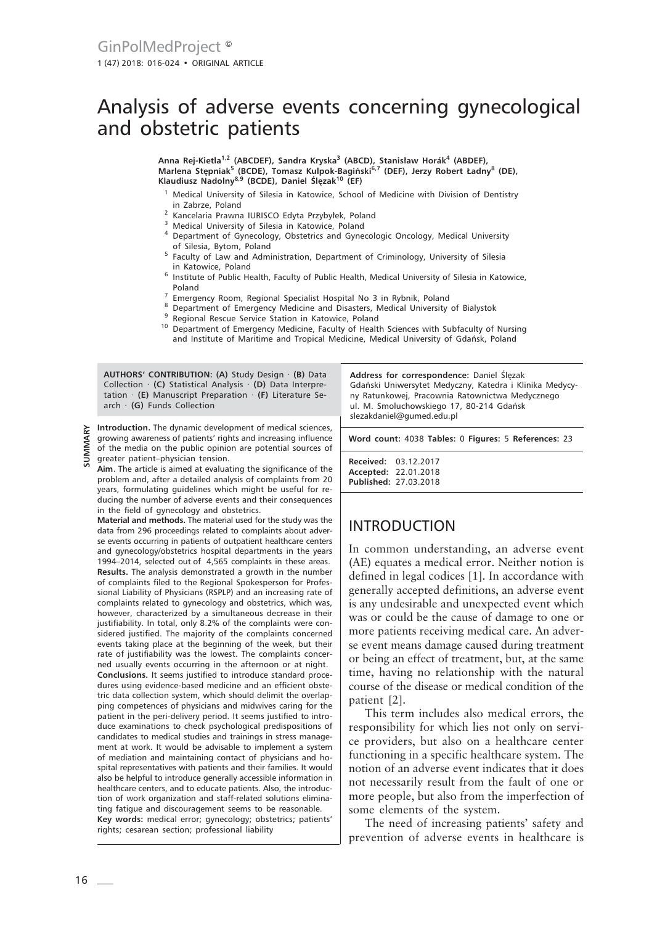# Analysis of adverse events concerning gynecological and obstetric patients

**Anna Rej-Kietla1,2 (ABCDEF), Sandra Kryska3 (ABCD), Stanisław Horák<sup>4</sup> (ABDEF), Marlena Stępniak<sup>5</sup> (BCDE), Tomasz Kulpok-Bagiński6,7 (DEF), Jerzy Robert Ładny8 (DE), Klaudiusz Nadolny8,9 (BCDE), Daniel Ślęzak10 (EF)**

- <sup>1</sup> Medical University of Silesia in Katowice, School of Medicine with Division of Dentistry in Zabrze, Poland
- <sup>2</sup> Kancelaria Prawna IURISCO Edyta Przybyłek, Poland
- <sup>3</sup> Medical University of Silesia in Katowice, Poland
- <sup>4</sup> Department of Gynecology, Obstetrics and Gynecologic Oncology, Medical University of Silesia, Bytom, Poland
- <sup>5</sup> Faculty of Law and Administration, Department of Criminology, University of Silesia in Katowice, Poland
- <sup>6</sup> Institute of Public Health, Faculty of Public Health, Medical University of Silesia in Katowice, Poland
- <sup>7</sup> Emergency Room, Regional Specialist Hospital No 3 in Rybnik, Poland
- <sup>8</sup> Department of Emergency Medicine and Disasters, Medical University of Bialystok
- Regional Rescue Service Station in Katowice, Poland
- <sup>10</sup> Department of Emergency Medicine, Faculty of Health Sciences with Subfaculty of Nursing and Institute of Maritime and Tropical Medicine, Medical University of Gdańsk, Poland

**AUTHORS' CONTRIBUTION: (A)** Study Design · **(B)** Data Collection · **(C)** Statistical Analysis · **(D)** Data Interpretation · **(E)** Manuscript Preparation · **(F)** Literature Search · **(G)** Funds Collection

**Introduction.** The dynamic development of medical sciences, growing awareness of patients' rights and increasing influence of the media on the public opinion are potential sources of greater patient–physician tension.

**Aim**. The article is aimed at evaluating the significance of the problem and, after a detailed analysis of complaints from 20 years, formulating guidelines which might be useful for reducing the number of adverse events and their consequences in the field of gynecology and obstetrics.

**Material and methods.** The material used for the study was the data from 296 proceedings related to complaints about adverse events occurring in patients of outpatient healthcare centers and gynecology/obstetrics hospital departments in the years 1994–2014, selected out of 4,565 complaints in these areas. **Results.** The analysis demonstrated a growth in the number of complaints filed to the Regional Spokesperson for Professional Liability of Physicians (RSPLP) and an increasing rate of complaints related to gynecology and obstetrics, which was, however, characterized by a simultaneous decrease in their justifiability. In total, only 8.2% of the complaints were considered justified. The majority of the complaints concerned events taking place at the beginning of the week, but their rate of justifiability was the lowest. The complaints concerned usually events occurring in the afternoon or at night. **Conclusions.** It seems justified to introduce standard procedures using evidence-based medicine and an efficient obstetric data collection system, which should delimit the overlapping competences of physicians and midwives caring for the patient in the peri-delivery period. It seems justified to introduce examinations to check psychological predispositions of candidates to medical studies and trainings in stress management at work. It would be advisable to implement a system of mediation and maintaining contact of physicians and hospital representatives with patients and their families. It would also be helpful to introduce generally accessible information in healthcare centers, and to educate patients. Also, the introduction of work organization and staff-related solutions eliminating fatigue and discouragement seems to be reasonable. **Key words:** medical error; gynecology; obstetrics; patients' rights; cesarean section; professional liability

**Address for correspondence:** Daniel Ślęzak Gdański Uniwersytet Medyczny, Katedra i Klinika Medycyny Ratunkowej, Pracownia Ratownictwa Medycznego ul. M. Smoluchowskiego 17, 80-214 Gdańsk slezakdaniel@gumed.edu.pl

**Word count:** 4038 **Tables:** 0 **Figures:** 5 **References:** 23

**Received:** 03.12.2017 **Accepted:** 22.01.2018 **Published:** 27.03.2018

# INTRODUCTION

In common understanding, an adverse event (AE) equates a medical error. Neither notion is defined in legal codices [1]. In accordance with generally accepted definitions, an adverse event is any undesirable and unexpected event which was or could be the cause of damage to one or more patients receiving medical care. An adverse event means damage caused during treatment or being an effect of treatment, but, at the same time, having no relationship with the natural course of the disease or medical condition of the patient [2].

This term includes also medical errors, the responsibility for which lies not only on service providers, but also on a healthcare center functioning in a specific healthcare system. The notion of an adverse event indicates that it does not necessarily result from the fault of one or more people, but also from the imperfection of some elements of the system.

The need of increasing patients' safety and prevention of adverse events in healthcare is

**SUMMARY**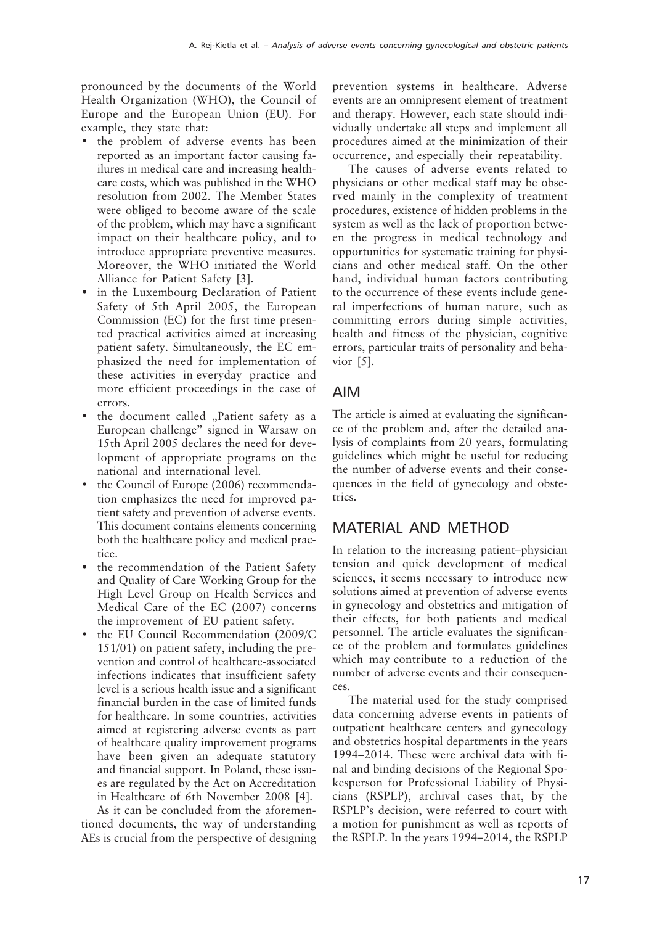pronounced by the documents of the World Health Organization (WHO), the Council of Europe and the European Union (EU). For example, they state that:

- the problem of adverse events has been reported as an important factor causing failures in medical care and increasing healthcare costs, which was published in the WHO resolution from 2002. The Member States were obliged to become aware of the scale of the problem, which may have a significant impact on their healthcare policy, and to introduce appropriate preventive measures. Moreover, the WHO initiated the World Alliance for Patient Safety [3].
- in the Luxembourg Declaration of Patient Safety of 5th April 2005, the European Commission (EC) for the first time presented practical activities aimed at increasing patient safety. Simultaneously, the EC emphasized the need for implementation of these activities in everyday practice and more efficient proceedings in the case of errors.
- the document called "Patient safety as a European challenge" signed in Warsaw on 15th April 2005 declares the need for development of appropriate programs on the national and international level.
- the Council of Europe (2006) recommendation emphasizes the need for improved patient safety and prevention of adverse events. This document contains elements concerning both the healthcare policy and medical practice.
- the recommendation of the Patient Safety and Quality of Care Working Group for the High Level Group on Health Services and Medical Care of the EC (2007) concerns the improvement of EU patient safety.
- the EU Council Recommendation (2009/C 151/01) on patient safety, including the prevention and control of healthcare-associated infections indicates that insufficient safety level is a serious health issue and a significant financial burden in the case of limited funds for healthcare. In some countries, activities aimed at registering adverse events as part of healthcare quality improvement programs have been given an adequate statutory and financial support. In Poland, these issues are regulated by the Act on Accreditation in Healthcare of 6th November 2008 [4].

As it can be concluded from the aforementioned documents, the way of understanding AEs is crucial from the perspective of designing prevention systems in healthcare. Adverse events are an omnipresent element of treatment and therapy. However, each state should individually undertake all steps and implement all procedures aimed at the minimization of their occurrence, and especially their repeatability.

The causes of adverse events related to physicians or other medical staff may be observed mainly in the complexity of treatment procedures, existence of hidden problems in the system as well as the lack of proportion between the progress in medical technology and opportunities for systematic training for physicians and other medical staff. On the other hand, individual human factors contributing to the occurrence of these events include general imperfections of human nature, such as committing errors during simple activities, health and fitness of the physician, cognitive errors, particular traits of personality and behavior [5].

#### AIM

The article is aimed at evaluating the significance of the problem and, after the detailed analysis of complaints from 20 years, formulating guidelines which might be useful for reducing the number of adverse events and their consequences in the field of gynecology and obstetrics.

### MATERIAL AND METHOD

In relation to the increasing patient–physician tension and quick development of medical sciences, it seems necessary to introduce new solutions aimed at prevention of adverse events in gynecology and obstetrics and mitigation of their effects, for both patients and medical personnel. The article evaluates the significance of the problem and formulates guidelines which may contribute to a reduction of the number of adverse events and their consequences.

The material used for the study comprised data concerning adverse events in patients of outpatient healthcare centers and gynecology and obstetrics hospital departments in the years 1994–2014. These were archival data with final and binding decisions of the Regional Spokesperson for Professional Liability of Physicians (RSPLP), archival cases that, by the RSPLP's decision, were referred to court with a motion for punishment as well as reports of the RSPLP. In the years 1994–2014, the RSPLP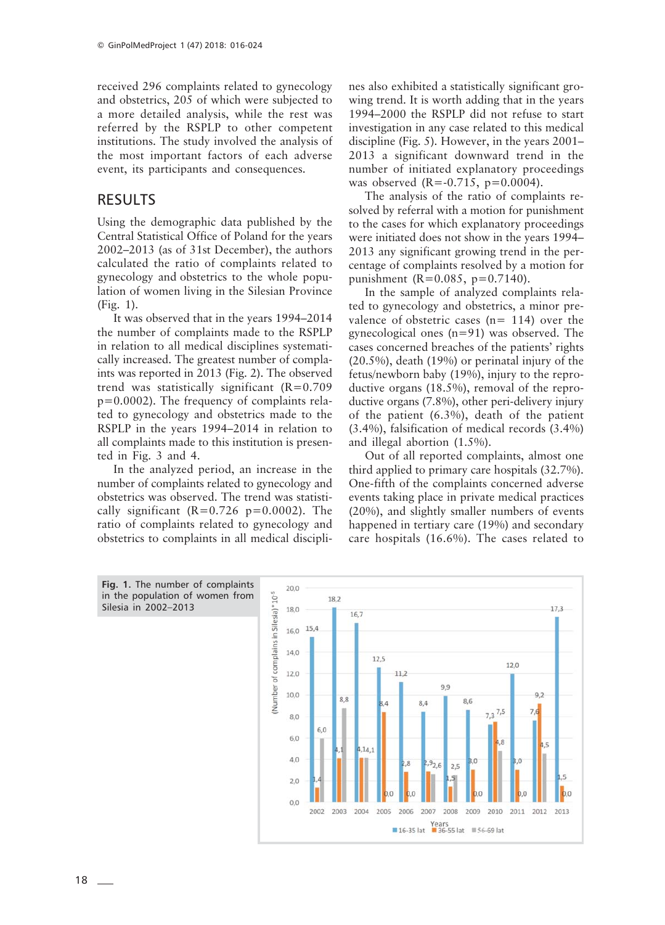received 296 complaints related to gynecology and obstetrics, 205 of which were subjected to a more detailed analysis, while the rest was referred by the RSPLP to other competent institutions. The study involved the analysis of the most important factors of each adverse event, its participants and consequences.

#### RESULTS

Using the demographic data published by the Central Statistical Office of Poland for the years 2002–2013 (as of 31st December), the authors calculated the ratio of complaints related to gynecology and obstetrics to the whole population of women living in the Silesian Province (Fig. 1).

It was observed that in the years 1994–2014 the number of complaints made to the RSPLP in relation to all medical disciplines systematically increased. The greatest number of complaints was reported in 2013 (Fig. 2). The observed trend was statistically significant  $(R=0.709)$ p=0.0002). The frequency of complaints related to gynecology and obstetrics made to the RSPLP in the years 1994–2014 in relation to all complaints made to this institution is presented in Fig. 3 and 4.

In the analyzed period, an increase in the number of complaints related to gynecology and obstetrics was observed. The trend was statistically significant  $(R=0.726 \text{ p}=0.0002)$ . The ratio of complaints related to gynecology and obstetrics to complaints in all medical disciplines also exhibited a statistically significant growing trend. It is worth adding that in the years 1994–2000 the RSPLP did not refuse to start investigation in any case related to this medical discipline (Fig. 5). However, in the years 2001– 2013 a significant downward trend in the number of initiated explanatory proceedings was observed  $(R = -0.715, p = 0.0004)$ .

The analysis of the ratio of complaints resolved by referral with a motion for punishment to the cases for which explanatory proceedings were initiated does not show in the years 1994– 2013 any significant growing trend in the percentage of complaints resolved by a motion for punishment (R=0.085, p=0.7140).

In the sample of analyzed complaints related to gynecology and obstetrics, a minor prevalence of obstetric cases  $(n= 114)$  over the gynecological ones (n=91) was observed. The cases concerned breaches of the patients' rights (20.5%), death (19%) or perinatal injury of the fetus/newborn baby (19%), injury to the reproductive organs (18.5%), removal of the reproductive organs (7.8%), other peri-delivery injury of the patient (6.3%), death of the patient (3.4%), falsification of medical records (3.4%) and illegal abortion (1.5%).

Out of all reported complaints, almost one third applied to primary care hospitals (32.7%). One-fifth of the complaints concerned adverse events taking place in private medical practices (20%), and slightly smaller numbers of events happened in tertiary care (19%) and secondary care hospitals (16.6%). The cases related to

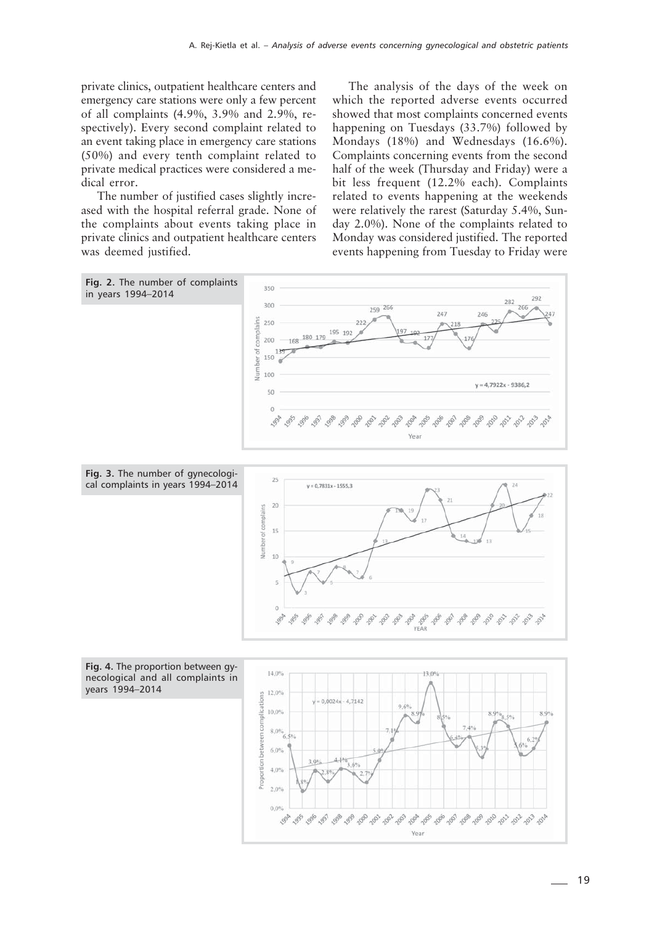private clinics, outpatient healthcare centers and emergency care stations were only a few percent of all complaints (4.9%, 3.9% and 2.9%, respectively). Every second complaint related to an event taking place in emergency care stations (50%) and every tenth complaint related to private medical practices were considered a medical error.

The number of justified cases slightly increased with the hospital referral grade. None of the complaints about events taking place in private clinics and outpatient healthcare centers was deemed justified.

The analysis of the days of the week on which the reported adverse events occurred showed that most complaints concerned events happening on Tuesdays (33.7%) followed by Mondays (18%) and Wednesdays (16.6%). Complaints concerning events from the second half of the week (Thursday and Friday) were a bit less frequent (12.2% each). Complaints related to events happening at the weekends were relatively the rarest (Saturday 5.4%, Sunday 2.0%). None of the complaints related to Monday was considered justified. The reported events happening from Tuesday to Friday were



1998

Year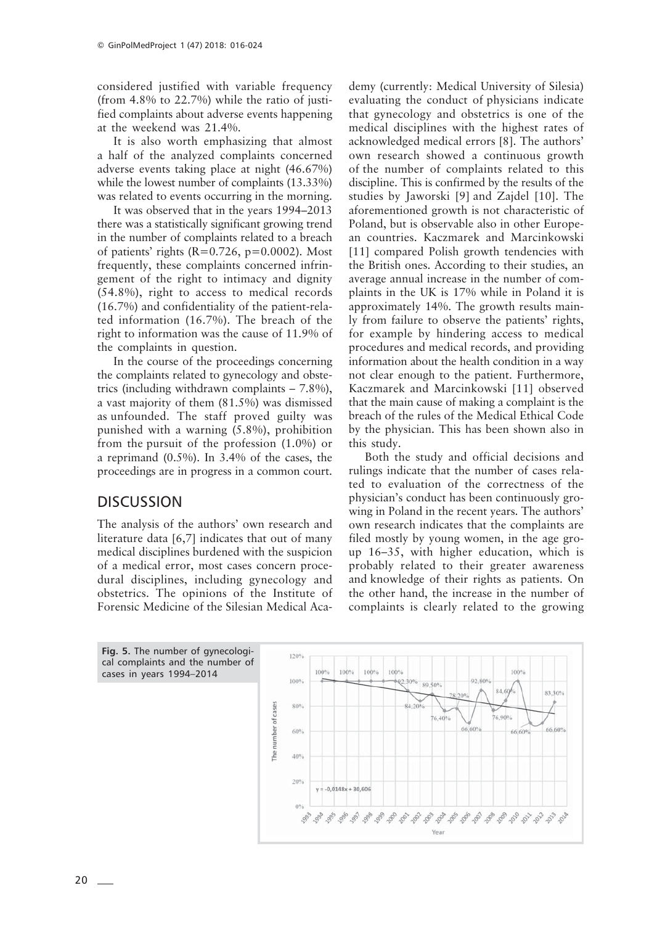considered justified with variable frequency (from 4.8% to 22.7%) while the ratio of justified complaints about adverse events happening at the weekend was 21.4%.

It is also worth emphasizing that almost a half of the analyzed complaints concerned adverse events taking place at night (46.67%) while the lowest number of complaints (13.33%) was related to events occurring in the morning.

It was observed that in the years 1994–2013 there was a statistically significant growing trend in the number of complaints related to a breach of patients' rights ( $R=0.726$ ,  $p=0.0002$ ). Most frequently, these complaints concerned infringement of the right to intimacy and dignity (54.8%), right to access to medical records (16.7%) and confidentiality of the patient-related information (16.7%). The breach of the right to information was the cause of 11.9% of the complaints in question.

In the course of the proceedings concerning the complaints related to gynecology and obstetrics (including withdrawn complaints – 7.8%), a vast majority of them (81.5%) was dismissed as unfounded. The staff proved guilty was punished with a warning (5.8%), prohibition from the pursuit of the profession (1.0%) or a reprimand (0.5%). In 3.4% of the cases, the proceedings are in progress in a common court.

#### **DISCUSSION**

The analysis of the authors' own research and literature data [6,7] indicates that out of many medical disciplines burdened with the suspicion of a medical error, most cases concern procedural disciplines, including gynecology and obstetrics. The opinions of the Institute of Forensic Medicine of the Silesian Medical Academy (currently: Medical University of Silesia) evaluating the conduct of physicians indicate that gynecology and obstetrics is one of the medical disciplines with the highest rates of acknowledged medical errors [8]. The authors' own research showed a continuous growth of the number of complaints related to this discipline. This is confirmed by the results of the studies by Jaworski [9] and Zajdel [10]. The aforementioned growth is not characteristic of Poland, but is observable also in other European countries. Kaczmarek and Marcinkowski [11] compared Polish growth tendencies with the British ones. According to their studies, an average annual increase in the number of complaints in the UK is 17% while in Poland it is approximately 14%. The growth results mainly from failure to observe the patients' rights, for example by hindering access to medical procedures and medical records, and providing information about the health condition in a way not clear enough to the patient. Furthermore, Kaczmarek and Marcinkowski [11] observed that the main cause of making a complaint is the breach of the rules of the Medical Ethical Code by the physician. This has been shown also in this study.

Both the study and official decisions and rulings indicate that the number of cases related to evaluation of the correctness of the physician's conduct has been continuously growing in Poland in the recent years. The authors' own research indicates that the complaints are filed mostly by young women, in the age group 16–35, with higher education, which is probably related to their greater awareness and knowledge of their rights as patients. On the other hand, the increase in the number of complaints is clearly related to the growing

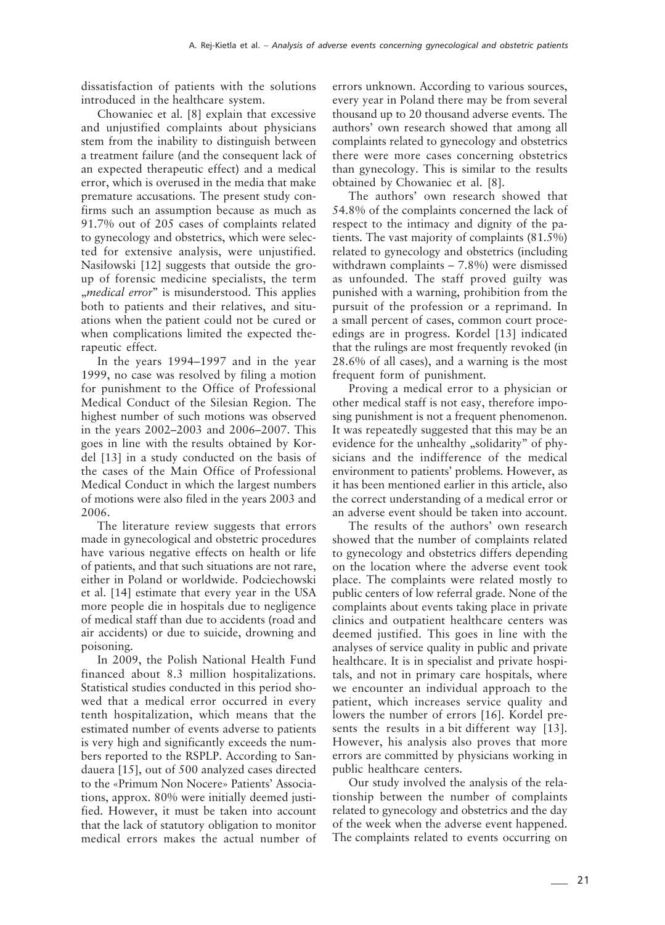dissatisfaction of patients with the solutions introduced in the healthcare system.

Chowaniec et al. [8] explain that excessive and unjustified complaints about physicians stem from the inability to distinguish between a treatment failure (and the consequent lack of an expected therapeutic effect) and a medical error, which is overused in the media that make premature accusations. The present study confirms such an assumption because as much as 91.7% out of 205 cases of complaints related to gynecology and obstetrics, which were selected for extensive analysis, were unjustified. Nasiłowski [12] suggests that outside the group of forensic medicine specialists, the term "*medical error*" is misunderstood. This applies both to patients and their relatives, and situations when the patient could not be cured or when complications limited the expected therapeutic effect.

In the years 1994–1997 and in the year 1999, no case was resolved by filing a motion for punishment to the Office of Professional Medical Conduct of the Silesian Region. The highest number of such motions was observed in the years 2002–2003 and 2006–2007. This goes in line with the results obtained by Kordel [13] in a study conducted on the basis of the cases of the Main Office of Professional Medical Conduct in which the largest numbers of motions were also filed in the years 2003 and 2006.

The literature review suggests that errors made in gynecological and obstetric procedures have various negative effects on health or life of patients, and that such situations are not rare, either in Poland or worldwide. Podciechowski et al. [14] estimate that every year in the USA more people die in hospitals due to negligence of medical staff than due to accidents (road and air accidents) or due to suicide, drowning and poisoning.

In 2009, the Polish National Health Fund financed about 8.3 million hospitalizations. Statistical studies conducted in this period showed that a medical error occurred in every tenth hospitalization, which means that the estimated number of events adverse to patients is very high and significantly exceeds the numbers reported to the RSPLP. According to Sandauera [15], out of 500 analyzed cases directed to the «Primum Non Nocere» Patients' Associations, approx. 80% were initially deemed justified. However, it must be taken into account that the lack of statutory obligation to monitor medical errors makes the actual number of errors unknown. According to various sources, every year in Poland there may be from several thousand up to 20 thousand adverse events. The authors' own research showed that among all complaints related to gynecology and obstetrics there were more cases concerning obstetrics than gynecology. This is similar to the results obtained by Chowaniec et al. [8].

The authors' own research showed that 54.8% of the complaints concerned the lack of respect to the intimacy and dignity of the patients. The vast majority of complaints (81.5%) related to gynecology and obstetrics (including withdrawn complaints – 7.8%) were dismissed as unfounded. The staff proved guilty was punished with a warning, prohibition from the pursuit of the profession or a reprimand. In a small percent of cases, common court proceedings are in progress. Kordel [13] indicated that the rulings are most frequently revoked (in 28.6% of all cases), and a warning is the most frequent form of punishment.

Proving a medical error to a physician or other medical staff is not easy, therefore imposing punishment is not a frequent phenomenon. It was repeatedly suggested that this may be an evidence for the unhealthy "solidarity" of physicians and the indifference of the medical environment to patients' problems. However, as it has been mentioned earlier in this article, also the correct understanding of a medical error or an adverse event should be taken into account.

The results of the authors' own research showed that the number of complaints related to gynecology and obstetrics differs depending on the location where the adverse event took place. The complaints were related mostly to public centers of low referral grade. None of the complaints about events taking place in private clinics and outpatient healthcare centers was deemed justified. This goes in line with the analyses of service quality in public and private healthcare. It is in specialist and private hospitals, and not in primary care hospitals, where we encounter an individual approach to the patient, which increases service quality and lowers the number of errors [16]. Kordel presents the results in a bit different way [13]. However, his analysis also proves that more errors are committed by physicians working in public healthcare centers.

Our study involved the analysis of the relationship between the number of complaints related to gynecology and obstetrics and the day of the week when the adverse event happened. The complaints related to events occurring on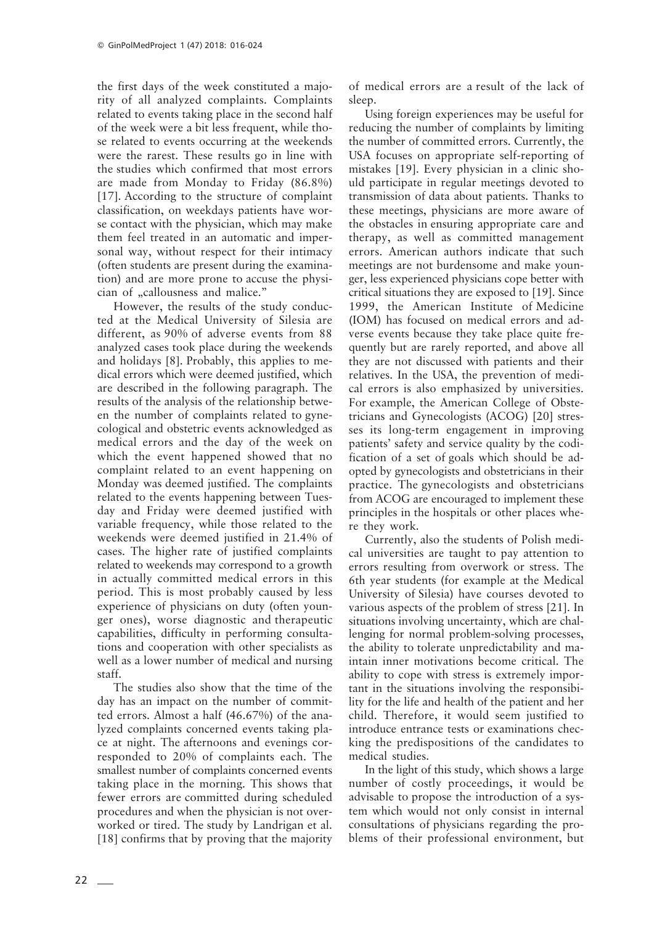the first days of the week constituted a majority of all analyzed complaints. Complaints related to events taking place in the second half of the week were a bit less frequent, while those related to events occurring at the weekends were the rarest. These results go in line with the studies which confirmed that most errors are made from Monday to Friday (86.8%) [17]. According to the structure of complaint classification, on weekdays patients have worse contact with the physician, which may make them feel treated in an automatic and impersonal way, without respect for their intimacy (often students are present during the examination) and are more prone to accuse the physician of "callousness and malice."

However, the results of the study conducted at the Medical University of Silesia are different, as 90% of adverse events from 88 analyzed cases took place during the weekends and holidays [8]. Probably, this applies to medical errors which were deemed justified, which are described in the following paragraph. The results of the analysis of the relationship between the number of complaints related to gynecological and obstetric events acknowledged as medical errors and the day of the week on which the event happened showed that no complaint related to an event happening on Monday was deemed justified. The complaints related to the events happening between Tuesday and Friday were deemed justified with variable frequency, while those related to the weekends were deemed justified in 21.4% of cases. The higher rate of justified complaints related to weekends may correspond to a growth in actually committed medical errors in this period. This is most probably caused by less experience of physicians on duty (often younger ones), worse diagnostic and therapeutic capabilities, difficulty in performing consultations and cooperation with other specialists as well as a lower number of medical and nursing staff.

The studies also show that the time of the day has an impact on the number of committed errors. Almost a half (46.67%) of the analyzed complaints concerned events taking place at night. The afternoons and evenings corresponded to 20% of complaints each. The smallest number of complaints concerned events taking place in the morning. This shows that fewer errors are committed during scheduled procedures and when the physician is not overworked or tired. The study by Landrigan et al. [18] confirms that by proving that the majority

of medical errors are a result of the lack of sleep.

Using foreign experiences may be useful for reducing the number of complaints by limiting the number of committed errors. Currently, the USA focuses on appropriate self-reporting of mistakes [19]. Every physician in a clinic should participate in regular meetings devoted to transmission of data about patients. Thanks to these meetings, physicians are more aware of the obstacles in ensuring appropriate care and therapy, as well as committed management errors. American authors indicate that such meetings are not burdensome and make younger, less experienced physicians cope better with critical situations they are exposed to [19]. Since 1999, the American Institute of Medicine (IOM) has focused on medical errors and adverse events because they take place quite frequently but are rarely reported, and above all they are not discussed with patients and their relatives. In the USA, the prevention of medical errors is also emphasized by universities. For example, the American College of Obstetricians and Gynecologists (ACOG) [20] stresses its long-term engagement in improving patients' safety and service quality by the codification of a set of goals which should be adopted by gynecologists and obstetricians in their practice. The gynecologists and obstetricians from ACOG are encouraged to implement these principles in the hospitals or other places where they work.

Currently, also the students of Polish medical universities are taught to pay attention to errors resulting from overwork or stress. The 6th year students (for example at the Medical University of Silesia) have courses devoted to various aspects of the problem of stress [21]. In situations involving uncertainty, which are challenging for normal problem-solving processes, the ability to tolerate unpredictability and maintain inner motivations become critical. The ability to cope with stress is extremely important in the situations involving the responsibility for the life and health of the patient and her child. Therefore, it would seem justified to introduce entrance tests or examinations checking the predispositions of the candidates to medical studies.

In the light of this study, which shows a large number of costly proceedings, it would be advisable to propose the introduction of a system which would not only consist in internal consultations of physicians regarding the problems of their professional environment, but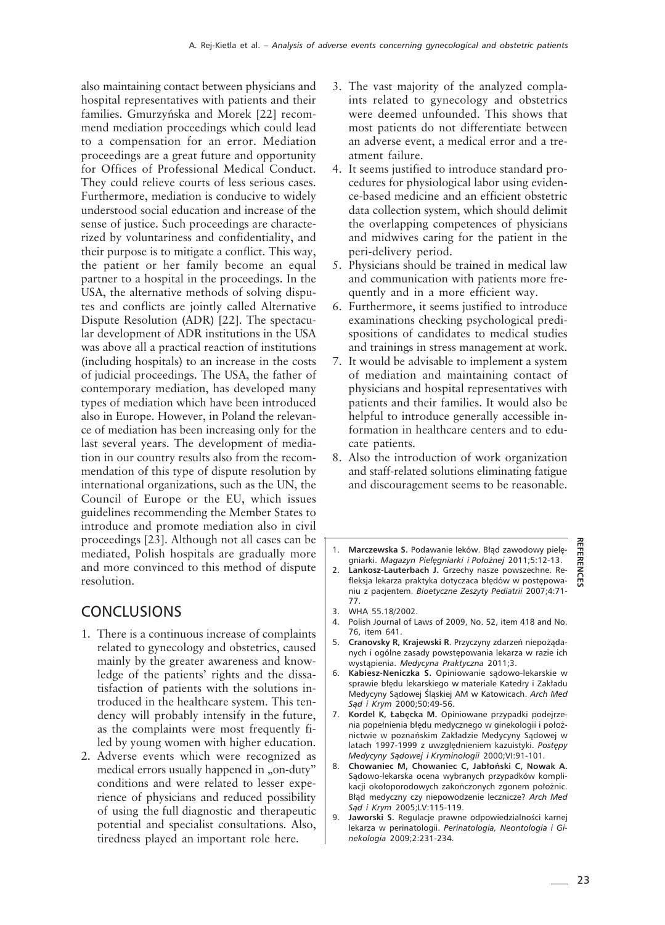also maintaining contact between physicians and hospital representatives with patients and their families. Gmurzyńska and Morek [22] recommend mediation proceedings which could lead to a compensation for an error. Mediation proceedings are a great future and opportunity for Offices of Professional Medical Conduct. They could relieve courts of less serious cases. Furthermore, mediation is conducive to widely understood social education and increase of the sense of justice. Such proceedings are characterized by voluntariness and confidentiality, and their purpose is to mitigate a conflict. This way, the patient or her family become an equal partner to a hospital in the proceedings. In the USA, the alternative methods of solving disputes and conflicts are jointly called Alternative Dispute Resolution (ADR) [22]. The spectacular development of ADR institutions in the USA was above all a practical reaction of institutions (including hospitals) to an increase in the costs of judicial proceedings. The USA, the father of contemporary mediation, has developed many types of mediation which have been introduced also in Europe. However, in Poland the relevance of mediation has been increasing only for the last several years. The development of mediation in our country results also from the recommendation of this type of dispute resolution by international organizations, such as the UN, the Council of Europe or the EU, which issues guidelines recommending the Member States to introduce and promote mediation also in civil proceedings [23]. Although not all cases can be mediated, Polish hospitals are gradually more and more convinced to this method of dispute resolution.

# **CONCLUSIONS**

- 1. There is a continuous increase of complaints related to gynecology and obstetrics, caused mainly by the greater awareness and knowledge of the patients' rights and the dissatisfaction of patients with the solutions introduced in the healthcare system. This tendency will probably intensify in the future, as the complaints were most frequently filed by young women with higher education.
- 2. Adverse events which were recognized as medical errors usually happened in "on-duty" conditions and were related to lesser experience of physicians and reduced possibility of using the full diagnostic and therapeutic potential and specialist consultations. Also, tiredness played an important role here.
- 3. The vast majority of the analyzed complaints related to gynecology and obstetrics were deemed unfounded. This shows that most patients do not differentiate between an adverse event, a medical error and a treatment failure.
- 4. It seems justified to introduce standard procedures for physiological labor using evidence-based medicine and an efficient obstetric data collection system, which should delimit the overlapping competences of physicians and midwives caring for the patient in the peri-delivery period.
- 5. Physicians should be trained in medical law and communication with patients more frequently and in a more efficient way.
- 6. Furthermore, it seems justified to introduce examinations checking psychological predispositions of candidates to medical studies and trainings in stress management at work.
- 7. It would be advisable to implement a system of mediation and maintaining contact of physicians and hospital representatives with patients and their families. It would also be helpful to introduce generally accessible information in healthcare centers and to educate patients.
- 8. Also the introduction of work organization and staff-related solutions eliminating fatigue and discouragement seems to be reasonable.
- 1. **Marczewska S.** Podawanie leków. Błąd zawodowy pielęgniarki. *Magazyn Pielęgniarki i Położnej* 2011;5:12-13.
- Lankosz-Lauterbach J. Grzechy nasze powszechne. Refleksja lekarza praktyka dotyczaca błędów w postępowaniu z pacjentem. *Bioetyczne Zeszyty Pediatrii* 2007;4:71- 77.
- 3. WHA 55.18/2002.
- 4. Polish Journal of Laws of 2009, No. 52, item 418 and No. 76, item 641.
- 5. **Cranovsky R, Krajewski R**. Przyczyny zdarzeń niepożądanych i ogólne zasady powstępowania lekarza w razie ich wystąpienia. *Medycyna Praktyczna* 2011;3.
- 6. **Kabiesz-Neniczka S.** Opiniowanie sądowo-lekarskie w sprawie błędu lekarskiego w materiale Katedry i Zakładu Medycyny Sądowej Śląskiej AM w Katowicach. *Arch Med Sąd i Krym* 2000;50:49-56.
- 7. **Kordel K, Łabęcka M.** Opiniowane przypadki podejrzenia popełnienia błędu medycznego w ginekologii i położnictwie w poznańskim Zakładzie Medycyny Sądowej w latach 1997-1999 z uwzględnieniem kazuistyki. *Postępy Medycyny Sądowej i Kryminologii* 2000;VI:91-101.
- 8. **Chowaniec M, Chowaniec C, Jabłoński C, Nowak A.** Sądowo-lekarska ocena wybranych przypadków komplikacji okołoporodowych zakończonych zgonem położnic. Błąd medyczny czy niepowodzenie lecznicze? *Arch Med Sąd i Krym* 2005;LV:115-119.
- 9. **Jaworski S.** Regulacje prawne odpowiedzialności karnej lekarza w perinatologii. *Perinatologia, Neontologia i Ginekologia* 2009;2:231-234.

**REFERENCES**

**REFEREN**